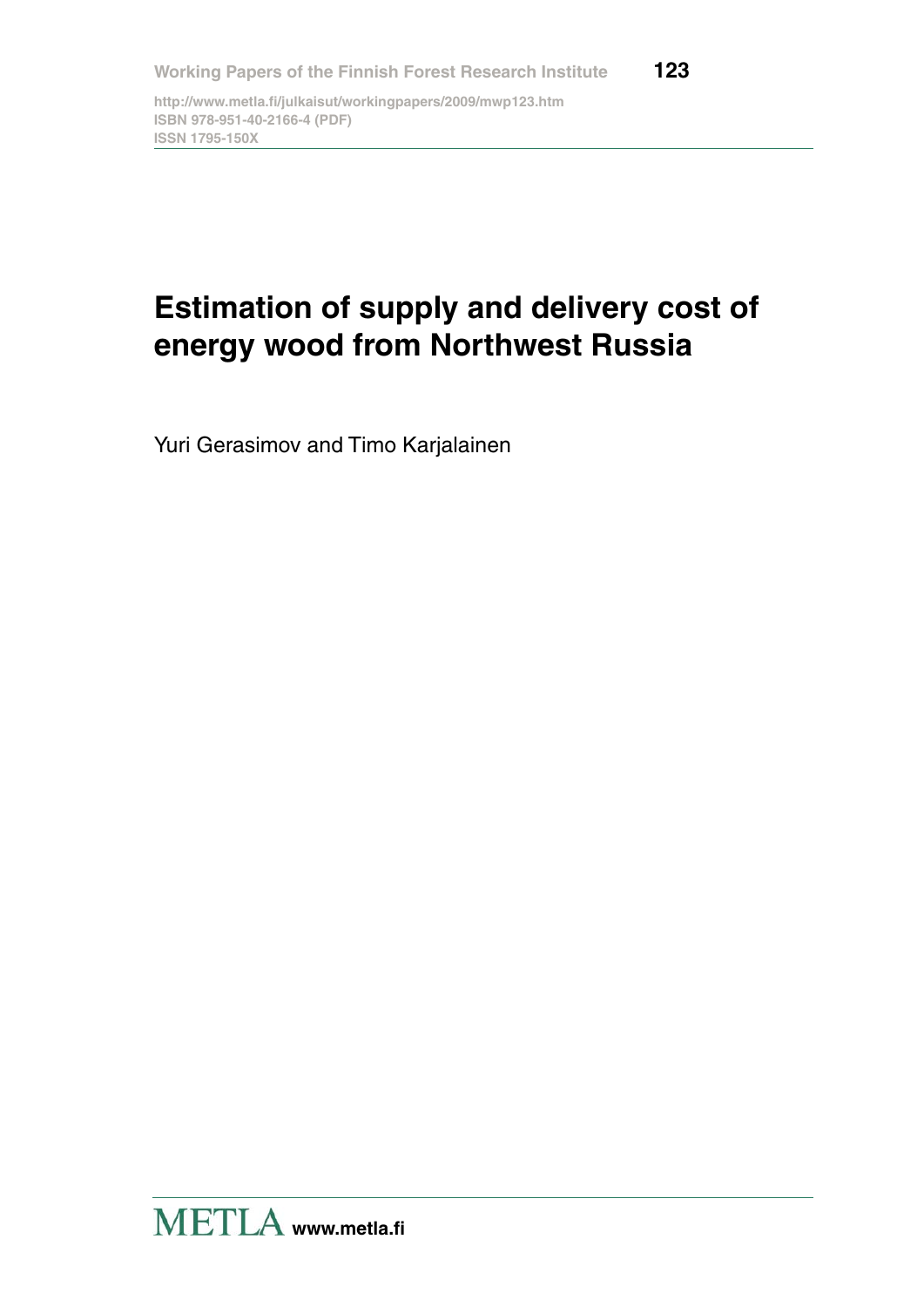**http://www.metla.fi/julkaisut/workingpapers/2009/mwp123.htm ISBN 978-951-40-2166-4 (PDF) ISSN 1795-150X**

# **Estimation of supply and delivery cost of energy wood from Northwest Russia**

Yuri Gerasimov and Timo Karjalainen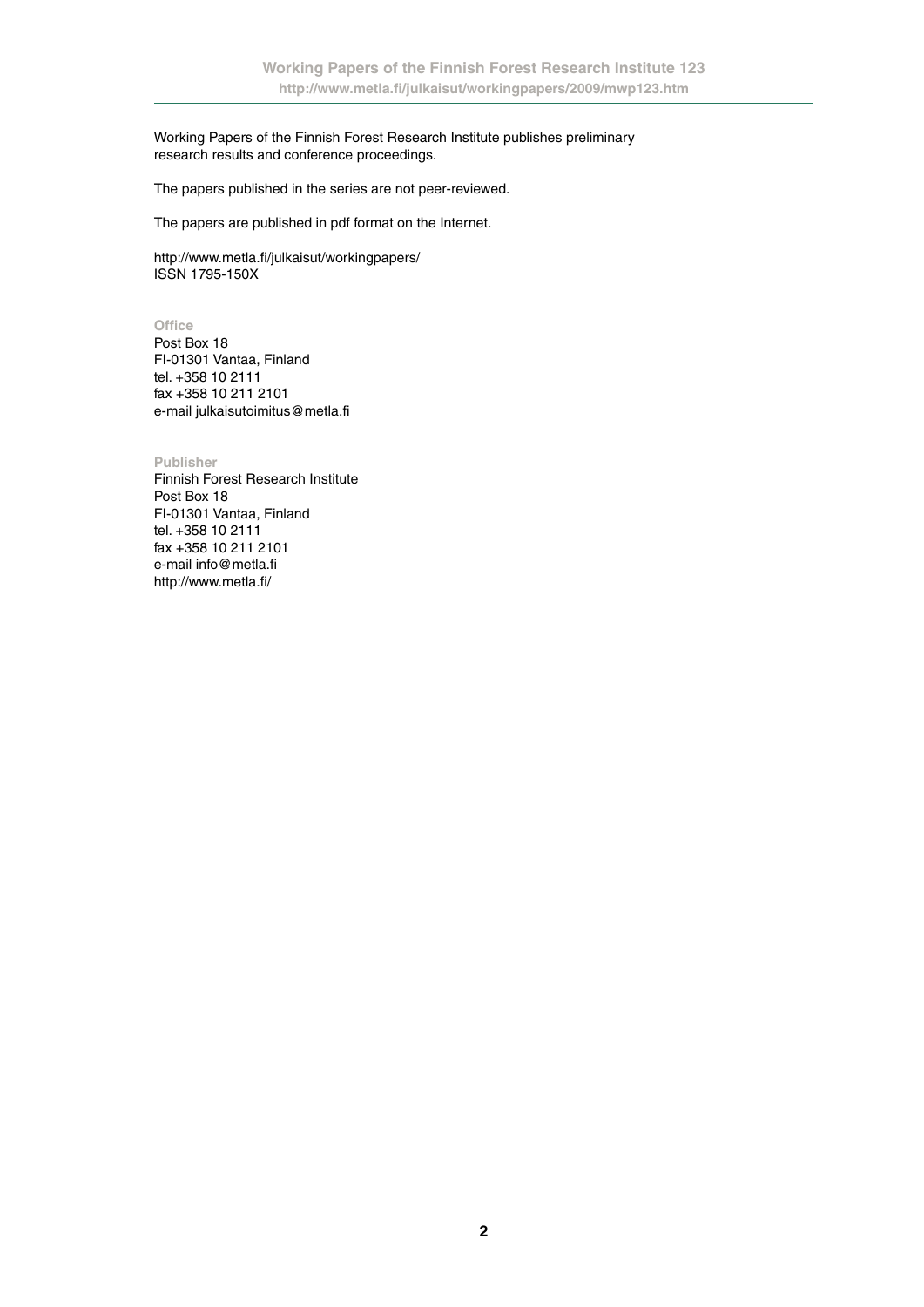Working Papers of the Finnish Forest Research Institute publishes preliminary research results and conference proceedings.

The papers published in the series are not peer-reviewed.

The papers are published in pdf format on the Internet.

http://www.metla.fi/julkaisut/workingpapers/ ISSN 1795-150X

**Office**

Post Box 18 FI-01301 Vantaa, Finland tel. +358 10 2111 fax +358 10 211 2101 e-mail julkaisutoimitus@metla.fi

**Publisher**

Finnish Forest Research Institute Post Box 18 FI-01301 Vantaa, Finland tel. +358 10 2111 fax +358 10 211 2101 e-mail info@metla.fi http://www.metla.fi/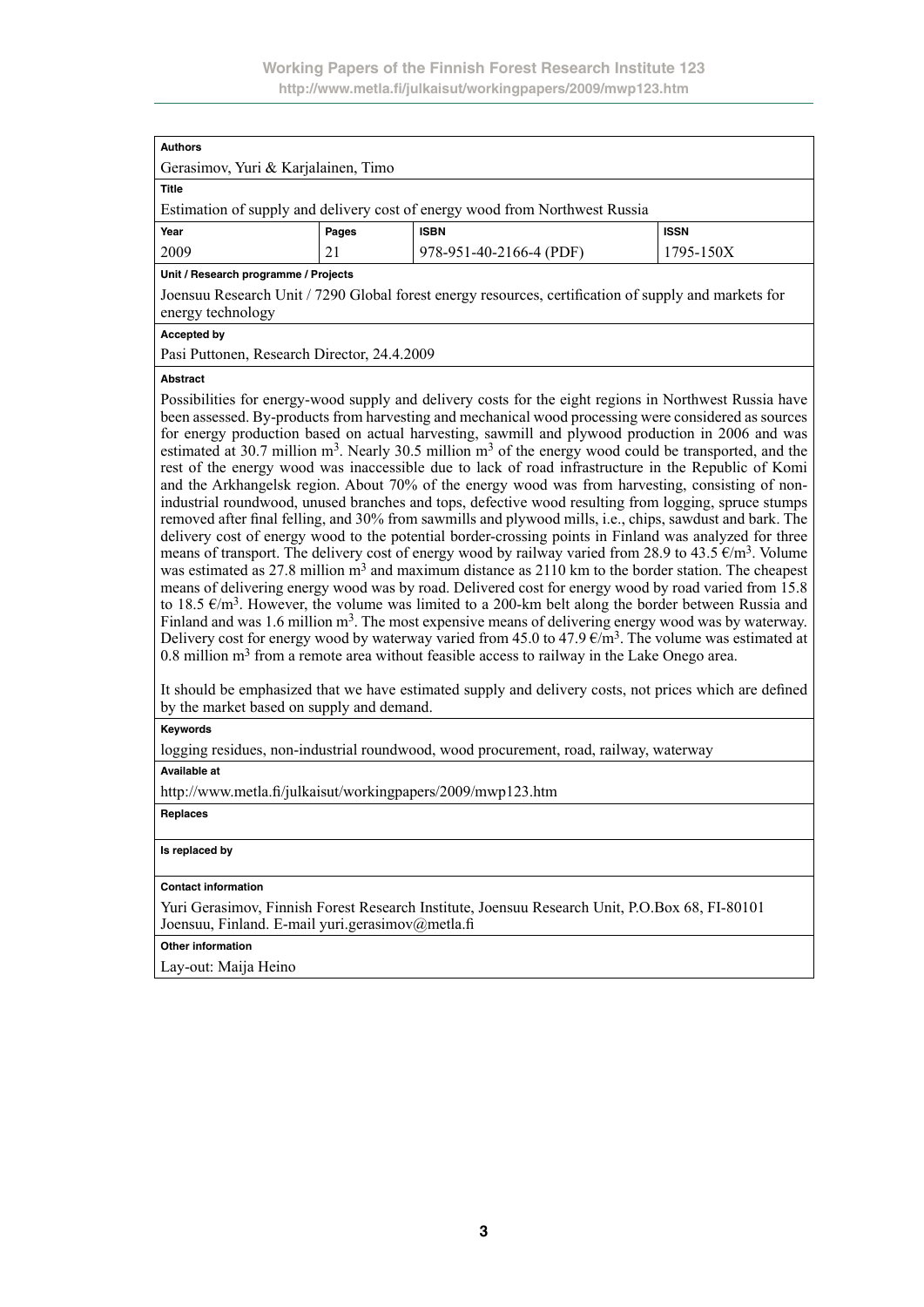| <b>Authors</b>                                                                                                            |       |                         |             |  |  |  |  |  |
|---------------------------------------------------------------------------------------------------------------------------|-------|-------------------------|-------------|--|--|--|--|--|
| Gerasimov, Yuri & Karjalainen, Timo                                                                                       |       |                         |             |  |  |  |  |  |
| <b>Title</b>                                                                                                              |       |                         |             |  |  |  |  |  |
| Estimation of supply and delivery cost of energy wood from Northwest Russia                                               |       |                         |             |  |  |  |  |  |
| Year                                                                                                                      | Pages | <b>ISBN</b>             | <b>ISSN</b> |  |  |  |  |  |
| 2009                                                                                                                      | 21    | 978-951-40-2166-4 (PDF) | 1795-150X   |  |  |  |  |  |
| Unit / Research programme / Projects                                                                                      |       |                         |             |  |  |  |  |  |
| Joensuu Research Unit / 7290 Global forest energy resources, certification of supply and markets for<br>energy technology |       |                         |             |  |  |  |  |  |

#### **Accepted by**

Pasi Puttonen, Research Director, 24.4.2009

#### **Abstract**

Possibilities for energy-wood supply and delivery costs for the eight regions in Northwest Russia have been assessed. By-products from harvesting and mechanical wood processing were considered as sources for energy production based on actual harvesting, sawmill and plywood production in 2006 and was estimated at 30.7 million  $m^3$ . Nearly 30.5 million  $m^3$  of the energy wood could be transported, and the rest of the energy wood was inaccessible due to lack of road infrastructure in the Republic of Komi and the Arkhangelsk region. About 70% of the energy wood was from harvesting, consisting of nonindustrial roundwood, unused branches and tops, defective wood resulting from logging, spruce stumps removed after final felling, and 30% from sawmills and plywood mills, i.e., chips, sawdust and bark. The delivery cost of energy wood to the potential border-crossing points in Finland was analyzed for three means of transport. The delivery cost of energy wood by railway varied from 28.9 to 43.5  $\epsilon/m^3$ . Volume was estimated as 27.8 million  $m<sup>3</sup>$  and maximum distance as 2110 km to the border station. The cheapest means of delivering energy wood was by road. Delivered cost for energy wood by road varied from 15.8 to 18.5  $\epsilon/m^3$ . However, the volume was limited to a 200-km belt along the border between Russia and Finland and was 1.6 million  $m<sup>3</sup>$ . The most expensive means of delivering energy wood was by waterway. Delivery cost for energy wood by waterway varied from 45.0 to 47.9  $\epsilon/m^3$ . The volume was estimated at 0.8 million  $m<sup>3</sup>$  from a remote area without feasible access to railway in the Lake Onego area.

It should be emphasized that we have estimated supply and delivery costs, not prices which are defined by the market based on supply and demand.

#### **Keywords**

logging residues, non-industrial roundwood, wood procurement, road, railway, waterway

#### **Available at**

http://www.metla.fi/julkaisut/workingpapers/2009/mwp123.htm

#### **Replaces**

#### **Is replaced by**

#### **Contact information**

Yuri Gerasimov, Finnish Forest Research Institute, Joensuu Research Unit, P.O.Box 68, FI-80101 Joensuu, Finland. E-mail yuri.gerasimov@metla.fi

**Other information**

Lay-out: Maija Heino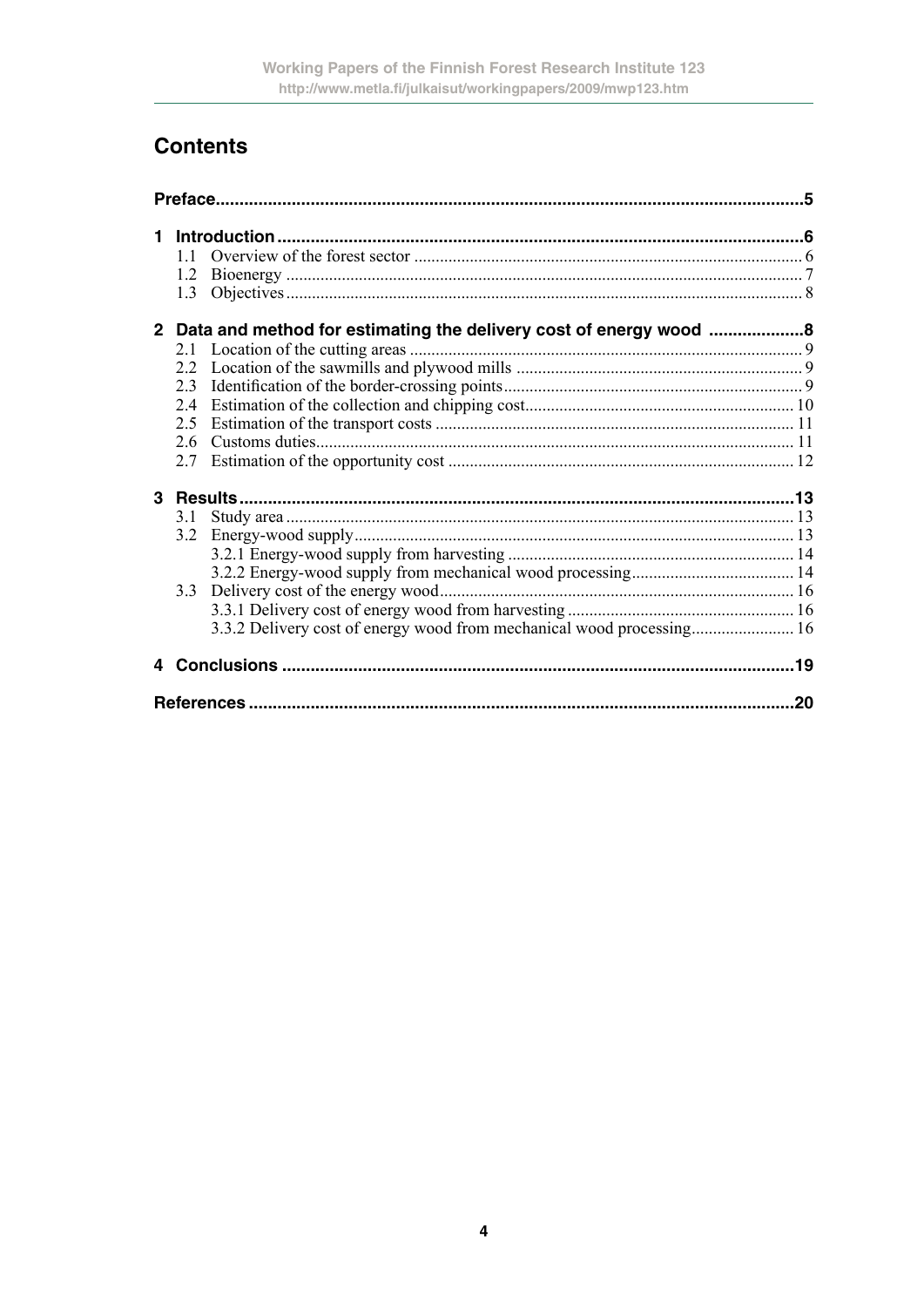# **Contents**

| 1 |     |                                                                       |    |
|---|-----|-----------------------------------------------------------------------|----|
|   | 11  |                                                                       |    |
|   |     |                                                                       |    |
|   |     |                                                                       |    |
|   |     | 2 Data and method for estimating the delivery cost of energy wood 8   |    |
|   |     |                                                                       |    |
|   |     |                                                                       |    |
|   | 2.3 |                                                                       |    |
|   | 2.4 |                                                                       |    |
|   | 2.5 |                                                                       |    |
|   |     |                                                                       |    |
|   | 2.7 |                                                                       |    |
|   |     |                                                                       |    |
|   | 3.1 |                                                                       |    |
|   | 3.2 |                                                                       |    |
|   |     |                                                                       |    |
|   |     |                                                                       |    |
|   | 3.3 |                                                                       |    |
|   |     |                                                                       |    |
|   |     | 3.3.2 Delivery cost of energy wood from mechanical wood processing 16 |    |
|   |     |                                                                       |    |
|   |     |                                                                       | 20 |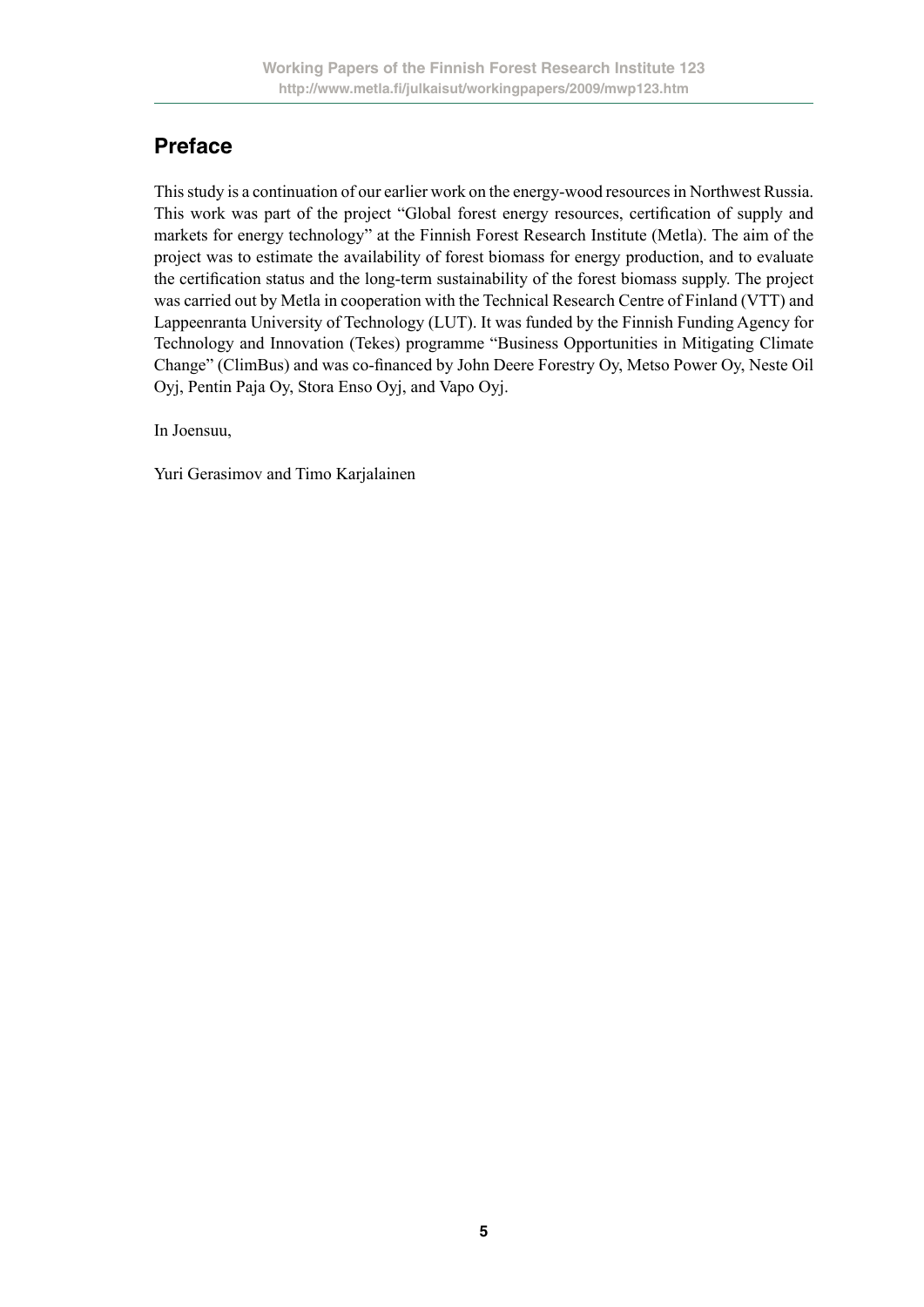# **Preface**

This study is a continuation of our earlier work on the energy-wood resources in Northwest Russia. This work was part of the project "Global forest energy resources, certification of supply and markets for energy technology" at the Finnish Forest Research Institute (Metla). The aim of the project was to estimate the availability of forest biomass for energy production, and to evaluate the certification status and the long-term sustainability of the forest biomass supply. The project was carried out by Metla in cooperation with the Technical Research Centre of Finland (VTT) and Lappeenranta University of Technology (LUT). It was funded by the Finnish Funding Agency for Technology and Innovation (Tekes) programme "Business Opportunities in Mitigating Climate Change" (ClimBus) and was co-financed by John Deere Forestry Oy, Metso Power Oy, Neste Oil Oyj, Pentin Paja Oy, Stora Enso Oyj, and Vapo Oyj.

In Joensuu,

Yuri Gerasimov and Timo Karjalainen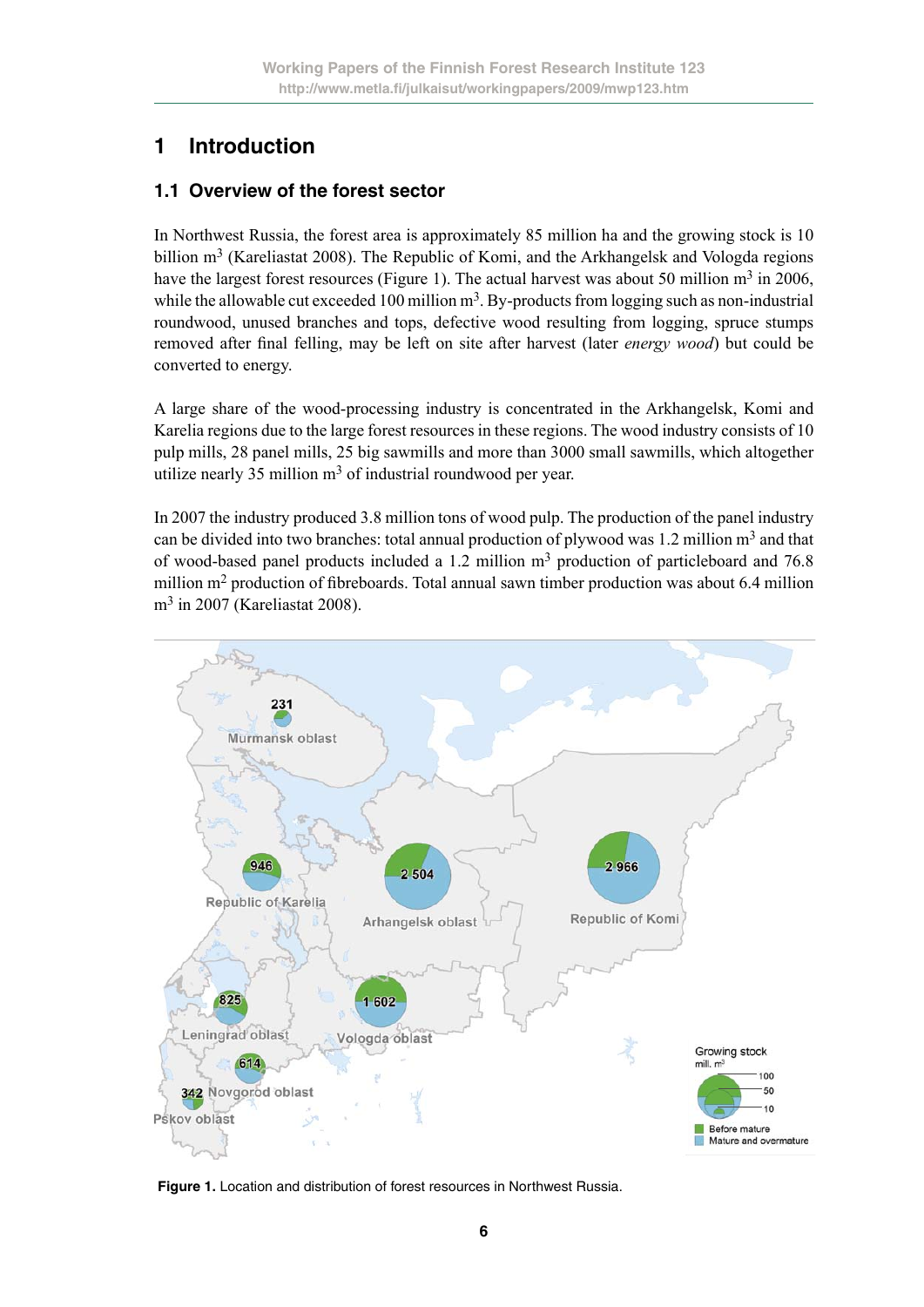# **1 Introduction**

### **1.1 Overview of the forest sector**

In Northwest Russia, the forest area is approximately 85 million ha and the growing stock is 10 billion  $m<sup>3</sup>$  (Kareliastat 2008). The Republic of Komi, and the Arkhangelsk and Vologda regions have the largest forest resources (Figure 1). The actual harvest was about 50 million  $m<sup>3</sup>$  in 2006, while the allowable cut exceeded 100 million  $m<sup>3</sup>$ . By-products from logging such as non-industrial roundwood, unused branches and tops, defective wood resulting from logging, spruce stumps removed after final felling, may be left on site after harvest (later *energy wood*) but could be converted to energy.

A large share of the wood-processing industry is concentrated in the Arkhangelsk, Komi and Karelia regions due to the large forest resources in these regions. The wood industry consists of 10 pulp mills, 28 panel mills, 25 big sawmills and more than 3000 small sawmills, which altogether utilize nearly 35 million m<sup>3</sup> of industrial roundwood per year.

In 2007 the industry produced 3.8 million tons of wood pulp. The production of the panel industry can be divided into two branches: total annual production of plywood was  $1.2$  million m<sup>3</sup> and that of wood-based panel products included a 1.2 million  $m<sup>3</sup>$  production of particleboard and 76.8 million m2 production of fibreboards. Total annual sawn timber production was about 6.4 million m3 in 2007 (Kareliastat 2008).



**Figure 1.** Location and distribution of forest resources in Northwest Russia.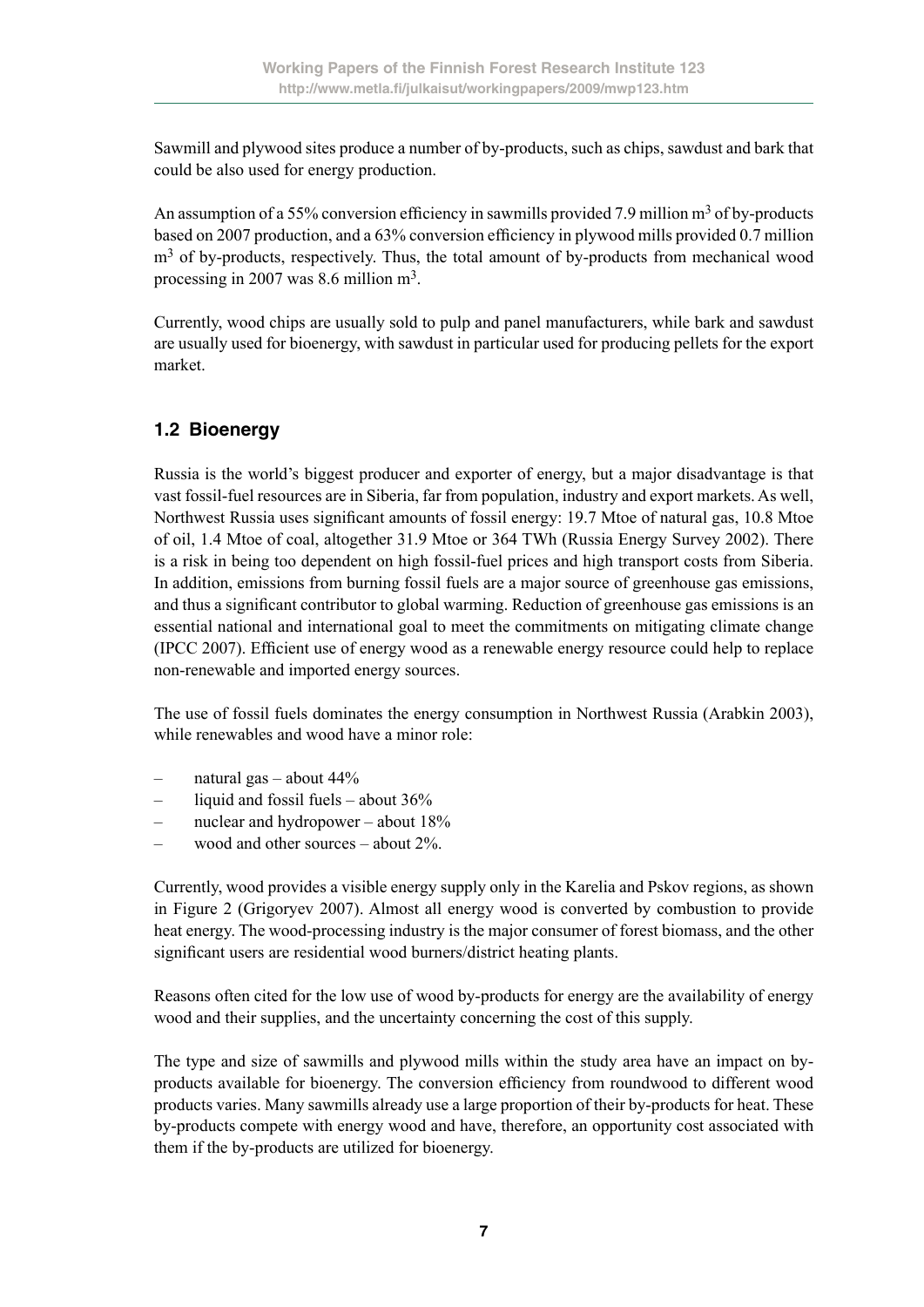Sawmill and plywood sites produce a number of by-products, such as chips, sawdust and bark that could be also used for energy production.

An assumption of a 55% conversion efficiency in sawmills provided 7.9 million  $m<sup>3</sup>$  of by-products based on 2007 production, and a 63% conversion efficiency in plywood mills provided 0.7 million  $m<sup>3</sup>$  of by-products, respectively. Thus, the total amount of by-products from mechanical wood processing in 2007 was 8.6 million m3.

Currently, wood chips are usually sold to pulp and panel manufacturers, while bark and sawdust are usually used for bioenergy, with sawdust in particular used for producing pellets for the export market.

### **1.2 Bioenergy**

Russia is the world's biggest producer and exporter of energy, but a major disadvantage is that vast fossil-fuel resources are in Siberia, far from population, industry and export markets. As well, Northwest Russia uses significant amounts of fossil energy: 19.7 Mtoe of natural gas, 10.8 Mtoe of oil, 1.4 Mtoe of coal, altogether 31.9 Mtoe or 364 TWh (Russia Energy Survey 2002). There is a risk in being too dependent on high fossil-fuel prices and high transport costs from Siberia. In addition, emissions from burning fossil fuels are a major source of greenhouse gas emissions, and thus a significant contributor to global warming. Reduction of greenhouse gas emissions is an essential national and international goal to meet the commitments on mitigating climate change (IPCC 2007). Efficient use of energy wood as a renewable energy resource could help to replace non-renewable and imported energy sources.

The use of fossil fuels dominates the energy consumption in Northwest Russia (Arabkin 2003), while renewables and wood have a minor role:

- natural gas about 44%
- liquid and fossil fuels about 36%
- nuclear and hydropower about 18%
- wood and other sources about 2%.

Currently, wood provides a visible energy supply only in the Karelia and Pskov regions, as shown in Figure 2 (Grigoryev 2007). Almost all energy wood is converted by combustion to provide heat energy. The wood-processing industry is the major consumer of forest biomass, and the other significant users are residential wood burners/district heating plants.

Reasons often cited for the low use of wood by-products for energy are the availability of energy wood and their supplies, and the uncertainty concerning the cost of this supply.

The type and size of sawmills and plywood mills within the study area have an impact on byproducts available for bioenergy. The conversion efficiency from roundwood to different wood products varies. Many sawmills already use a large proportion of their by-products for heat. These by-products compete with energy wood and have, therefore, an opportunity cost associated with them if the by-products are utilized for bioenergy.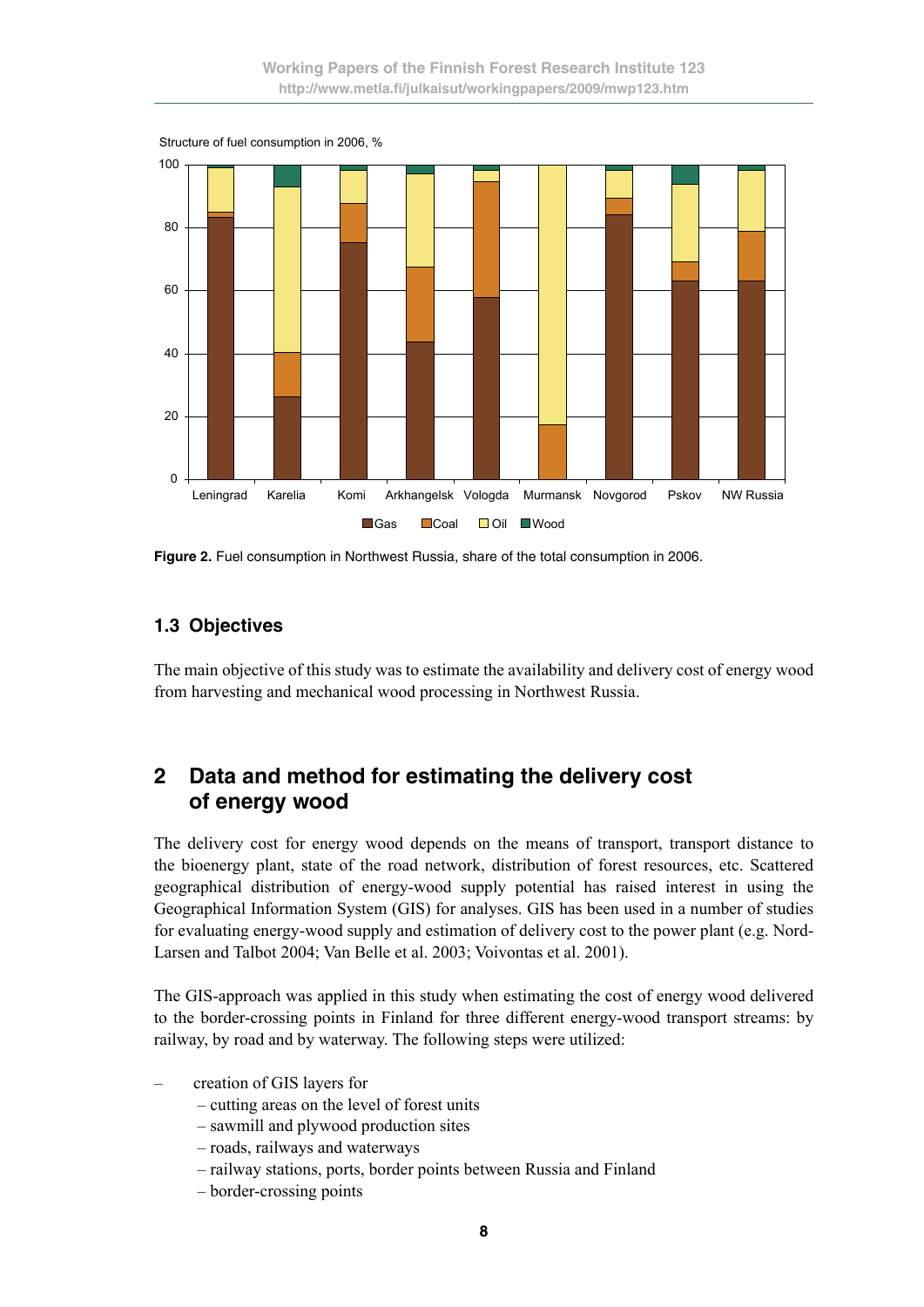

**Figure 2.** Fuel consumption in Northwest Russia, share of the total consumption in 2006.

#### **1.3 Objectives**

The main objective of this study was to estimate the availability and delivery cost of energy wood from harvesting and mechanical wood processing in Northwest Russia.

### **2 Data and method for estimating the delivery cost of energy wood**

The delivery cost for energy wood depends on the means of transport, transport distance to the bioenergy plant, state of the road network, distribution of forest resources, etc. Scattered geographical distribution of energy-wood supply potential has raised interest in using the Geographical Information System (GIS) for analyses. GIS has been used in a number of studies for evaluating energy-wood supply and estimation of delivery cost to the power plant (e.g. Nord-Larsen and Talbot 2004; Van Belle et al. 2003; Voivontas et al. 2001).

The GIS-approach was applied in this study when estimating the cost of energy wood delivered to the border-crossing points in Finland for three different energy-wood transport streams: by railway, by road and by waterway. The following steps were utilized:

- creation of GIS layers for
	- cutting areas on the level of forest units
	- sawmill and plywood production sites
	- roads, railways and waterways
	- railway stations, ports, border points between Russia and Finland
	- border-crossing points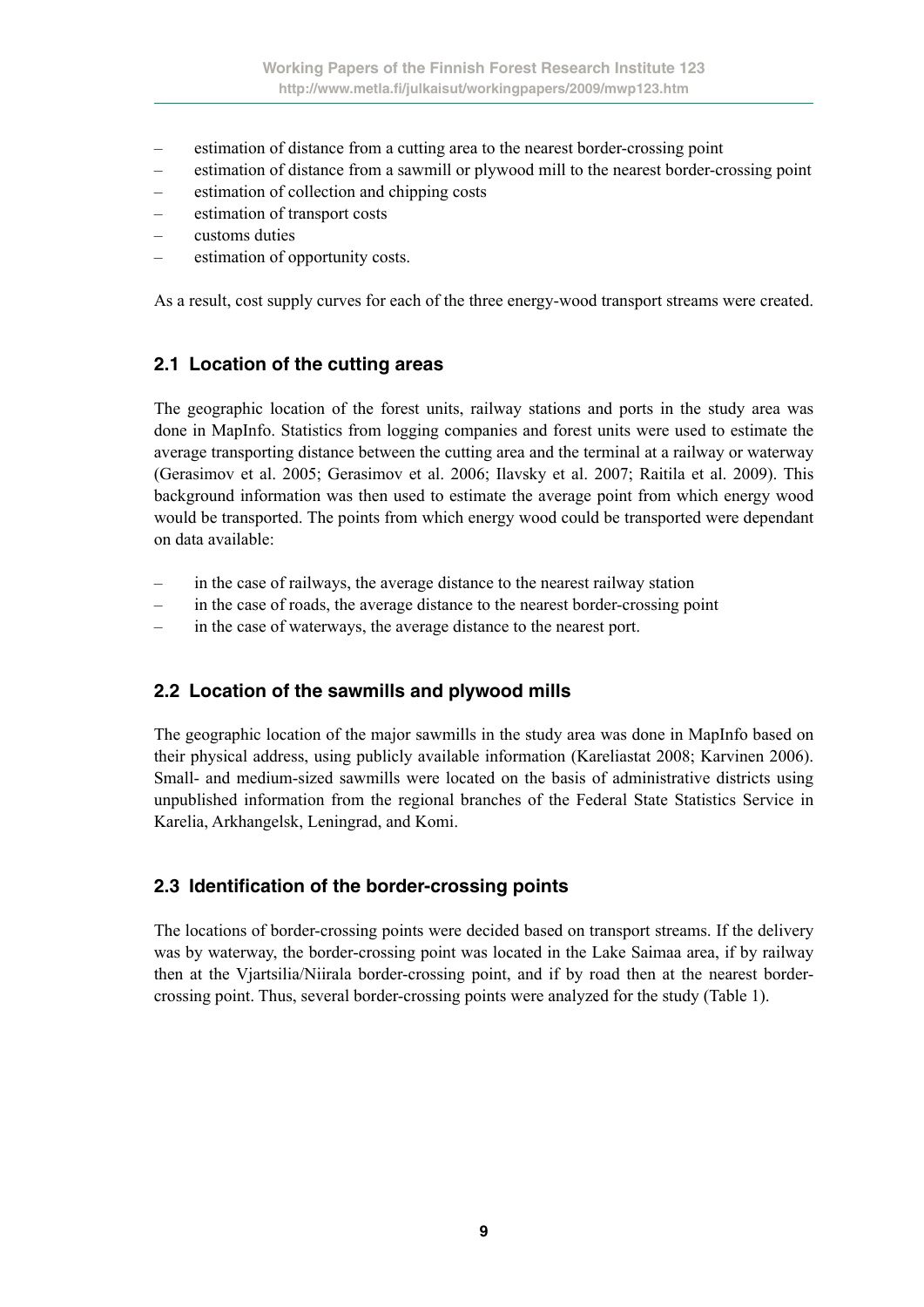- estimation of distance from a cutting area to the nearest border-crossing point
- estimation of distance from a sawmill or plywood mill to the nearest border-crossing point
- estimation of collection and chipping costs
- estimation of transport costs
- customs duties
- estimation of opportunity costs.

As a result, cost supply curves for each of the three energy-wood transport streams were created.

### **2.1 Location of the cutting areas**

The geographic location of the forest units, railway stations and ports in the study area was done in MapInfo. Statistics from logging companies and forest units were used to estimate the average transporting distance between the cutting area and the terminal at a railway or waterway (Gerasimov et al. 2005; Gerasimov et al. 2006; Ilavsky et al. 2007; Raitila et al. 2009). This background information was then used to estimate the average point from which energy wood would be transported. The points from which energy wood could be transported were dependant on data available:

- in the case of railways, the average distance to the nearest railway station
- in the case of roads, the average distance to the nearest border-crossing point
- in the case of waterways, the average distance to the nearest port.

### **2.2 Location of the sawmills and plywood mills**

The geographic location of the major sawmills in the study area was done in MapInfo based on their physical address, using publicly available information (Kareliastat 2008; Karvinen 2006). Small- and medium-sized sawmills were located on the basis of administrative districts using unpublished information from the regional branches of the Federal State Statistics Service in Karelia, Arkhangelsk, Leningrad, and Komi.

### **2.3 Identification of the border-crossing points**

The locations of border-crossing points were decided based on transport streams. If the delivery was by waterway, the border-crossing point was located in the Lake Saimaa area, if by railway then at the Vjartsilia/Niirala border-crossing point, and if by road then at the nearest bordercrossing point. Thus, several border-crossing points were analyzed for the study (Table 1).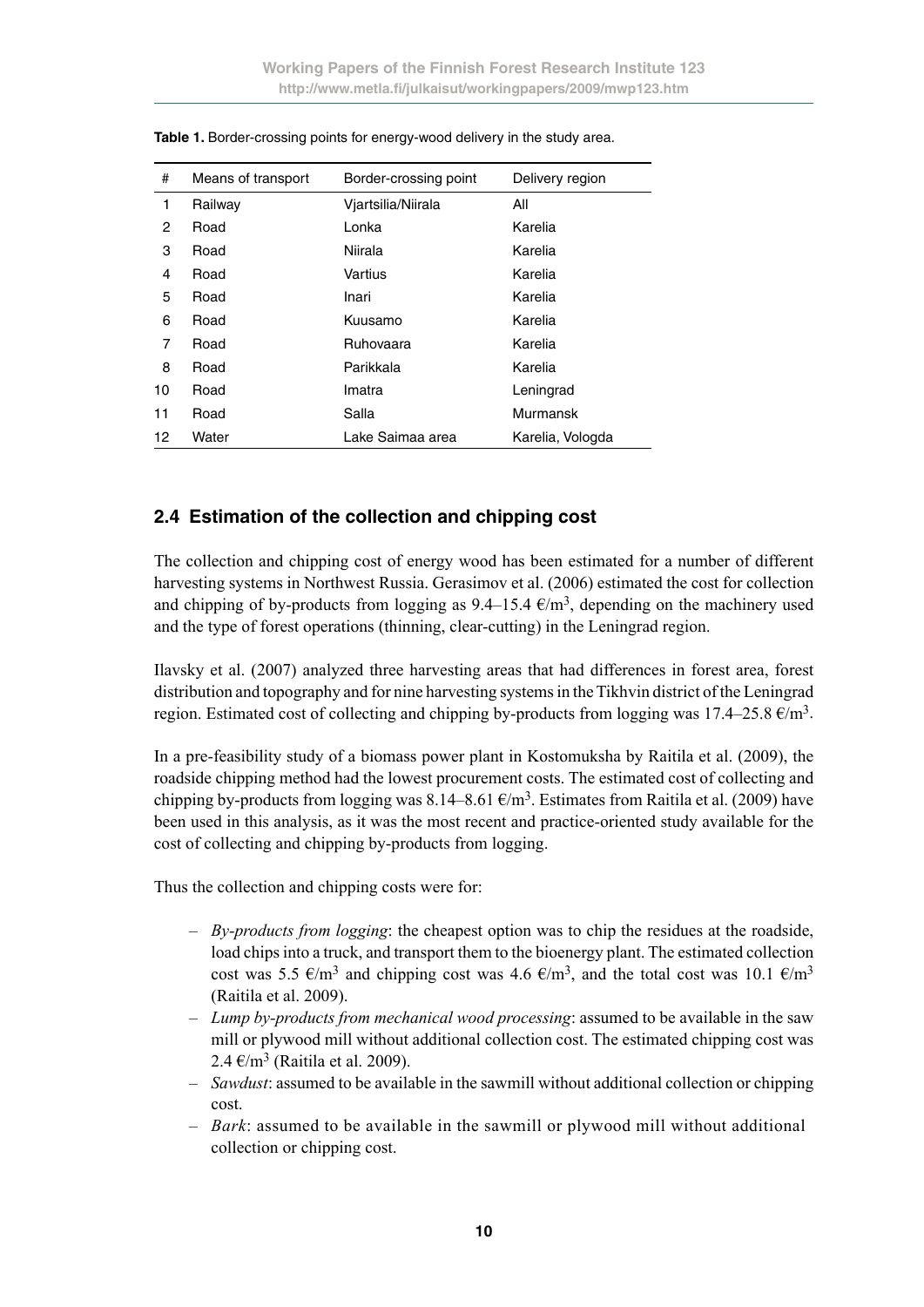| #  | Means of transport | Border-crossing point | Delivery region  |
|----|--------------------|-----------------------|------------------|
| 1  | Railway            | Viartsilia/Niirala    | All              |
| 2  | Road               | Lonka                 | Karelia          |
| 3  | Road               | Niirala               | Karelia          |
| 4  | Road               | Vartius               | Karelia          |
| 5  | Road               | Inari                 | Karelia          |
| 6  | Road               | Kuusamo               | Karelia          |
| 7  | Road               | Ruhovaara             | Karelia          |
| 8  | Road               | Parikkala             | Karelia          |
| 10 | Road               | Imatra                | Leningrad        |
| 11 | Road               | Salla                 | Murmansk         |
| 12 | Water              | Lake Saimaa area      | Karelia, Vologda |

Table 1. Border-crossing points for energy-wood delivery in the study area.

#### **2.4 Estimation of the collection and chipping cost**

The collection and chipping cost of energy wood has been estimated for a number of different harvesting systems in Northwest Russia. Gerasimov et al. (2006) estimated the cost for collection and chipping of by-products from logging as  $9.4-15.4 \text{ e/m}^3$ , depending on the machinery used and the type of forest operations (thinning, clear-cutting) in the Leningrad region.

Ilavsky et al. (2007) analyzed three harvesting areas that had differences in forest area, forest distribution and topography and for nine harvesting systems in the Tikhvin district of the Leningrad region. Estimated cost of collecting and chipping by-products from logging was  $17.4-25.8 \text{ }\epsilon/\text{m}^3$ .

In a pre-feasibility study of a biomass power plant in Kostomuksha by Raitila et al. (2009), the roadside chipping method had the lowest procurement costs. The estimated cost of collecting and chipping by-products from logging was 8.14–8.61  $\epsilon/m^3$ . Estimates from Raitila et al. (2009) have been used in this analysis, as it was the most recent and practice-oriented study available for the cost of collecting and chipping by-products from logging.

Thus the collection and chipping costs were for:

- *By-products from logging*: the cheapest option was to chip the residues at the roadside, load chips into a truck, and transport them to the bioenergy plant. The estimated collection cost was 5.5  $\epsilon/m^3$  and chipping cost was 4.6  $\epsilon/m^3$ , and the total cost was 10.1  $\epsilon/m^3$ (Raitila et al. 2009).
- *Lump by-products from mechanical wood processing*: assumed to be available in the saw mill or plywood mill without additional collection cost. The estimated chipping cost was 2.4  $\epsilon/m^3$  (Raitila et al. 2009).
- *Sawdust*: assumed to be available in the sawmill without additional collection or chipping cost.
- *Bark*: assumed to be available in the sawmill or plywood mill without additional collection or chipping cost.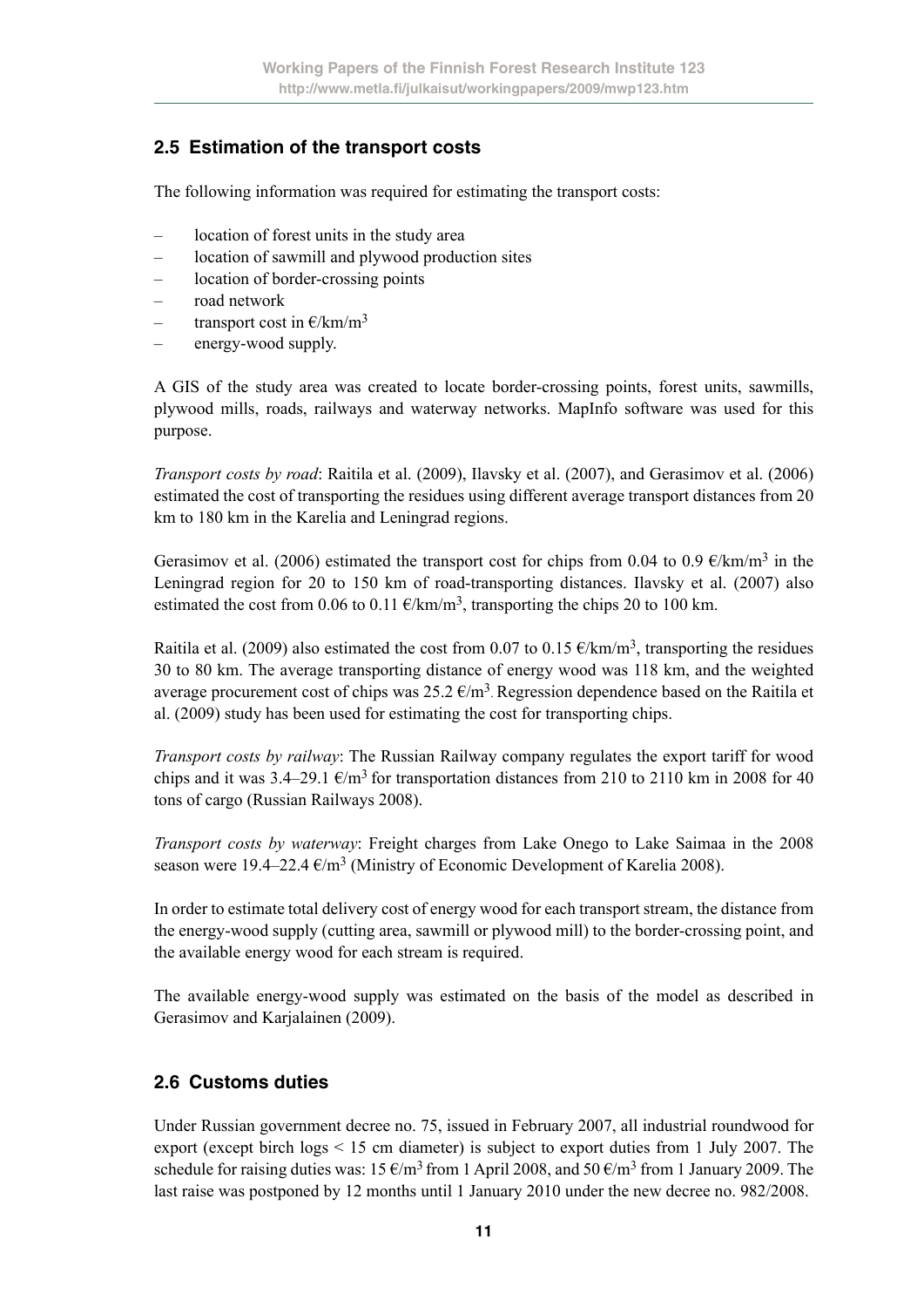### **2.5 Estimation of the transport costs**

The following information was required for estimating the transport costs:

- location of forest units in the study area
- location of sawmill and plywood production sites
- location of border-crossing points
- road network
- transport cost in  $E/km/m^3$
- energy-wood supply.

A GIS of the study area was created to locate border-crossing points, forest units, sawmills, plywood mills, roads, railways and waterway networks. MapInfo software was used for this purpose.

*Transport costs by road*: Raitila et al. (2009), Ilavsky et al. (2007), and Gerasimov et al. (2006) estimated the cost of transporting the residues using different average transport distances from 20 km to 180 km in the Karelia and Leningrad regions.

Gerasimov et al. (2006) estimated the transport cost for chips from 0.04 to 0.9  $\epsilon/km/m^3$  in the Leningrad region for 20 to 150 km of road-transporting distances. Ilavsky et al. (2007) also estimated the cost from 0.06 to 0.11  $\epsilon/km/m^3$ , transporting the chips 20 to 100 km.

Raitila et al. (2009) also estimated the cost from 0.07 to 0.15  $\epsilon/km/m^3$ , transporting the residues 30 to 80 km. The average transporting distance of energy wood was 118 km, and the weighted average procurement cost of chips was  $25.2 \text{ E/m}^3$ . Regression dependence based on the Raitila et al. (2009) study has been used for estimating the cost for transporting chips.

*Transport costs by railway*: The Russian Railway company regulates the export tariff for wood chips and it was 3.4–29.1  $\epsilon/m^3$  for transportation distances from 210 to 2110 km in 2008 for 40 tons of cargo (Russian Railways 2008).

*Transport costs by waterway*: Freight charges from Lake Onego to Lake Saimaa in the 2008 season were 19.4–22.4  $\epsilon/m^3$  (Ministry of Economic Development of Karelia 2008).

In order to estimate total delivery cost of energy wood for each transport stream, the distance from the energy-wood supply (cutting area, sawmill or plywood mill) to the border-crossing point, and the available energy wood for each stream is required.

The available energy-wood supply was estimated on the basis of the model as described in Gerasimov and Karjalainen (2009).

### **2.6 Customs duties**

Under Russian government decree no. 75, issued in February 2007, all industrial roundwood for export (except birch logs < 15 cm diameter) is subject to export duties from 1 July 2007. The schedule for raising duties was:  $15 \text{ E/m}^3$  from 1 April 2008, and  $50 \text{ E/m}^3$  from 1 January 2009. The last raise was postponed by 12 months until 1 January 2010 under the new decree no. 982/2008.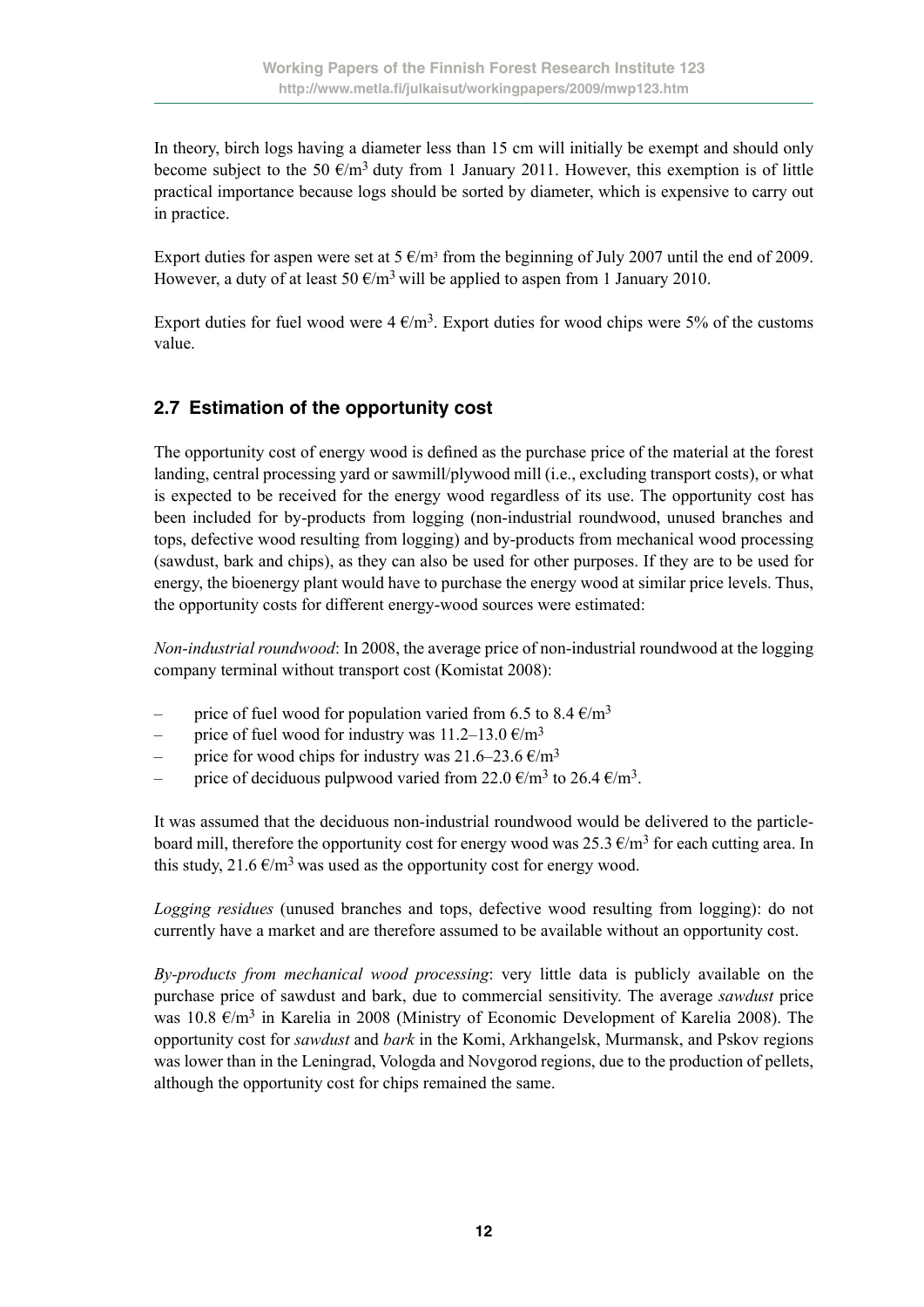In theory, birch logs having a diameter less than 15 cm will initially be exempt and should only become subject to the 50  $\epsilon/m^3$  duty from 1 January 2011. However, this exemption is of little practical importance because logs should be sorted by diameter, which is expensive to carry out in practice.

Export duties for aspen were set at  $5 \text{ E/m}^3$  from the beginning of July 2007 until the end of 2009. However, a duty of at least 50  $\epsilon/m^3$  will be applied to aspen from 1 January 2010.

Export duties for fuel wood were  $4 \text{ } \epsilon/\text{m}^3$ . Export duties for wood chips were 5% of the customs value.

### **2.7 Estimation of the opportunity cost**

The opportunity cost of energy wood is defined as the purchase price of the material at the forest landing, central processing yard or sawmill/plywood mill (i.e., excluding transport costs), or what is expected to be received for the energy wood regardless of its use. The opportunity cost has been included for by-products from logging (non-industrial roundwood, unused branches and tops, defective wood resulting from logging) and by-products from mechanical wood processing (sawdust, bark and chips), as they can also be used for other purposes. If they are to be used for energy, the bioenergy plant would have to purchase the energy wood at similar price levels. Thus, the opportunity costs for different energy-wood sources were estimated:

*Non-industrial roundwood*: In 2008, the average price of non-industrial roundwood at the logging company terminal without transport cost (Komistat 2008):

- price of fuel wood for population varied from 6.5 to 8.4  $\epsilon/m^3$
- price of fuel wood for industry was  $11.2-13.0 \text{ }\epsilon/m^3$
- price for wood chips for industry was  $21.6-23.6 \text{ }\epsilon/m^3$
- price of deciduous pulpwood varied from 22.0  $\epsilon/m^3$  to 26.4  $\epsilon/m^3$ .

It was assumed that the deciduous non-industrial roundwood would be delivered to the particleboard mill, therefore the opportunity cost for energy wood was  $25.3 \text{ } \infty$  for each cutting area. In this study, 21.6  $\epsilon/m^3$  was used as the opportunity cost for energy wood.

*Logging residues* (unused branches and tops, defective wood resulting from logging): do not currently have a market and are therefore assumed to be available without an opportunity cost.

*By-products from mechanical wood processing*: very little data is publicly available on the purchase price of sawdust and bark, due to commercial sensitivity. The average *sawdust* price was 10.8  $\epsilon/m^3$  in Karelia in 2008 (Ministry of Economic Development of Karelia 2008). The opportunity cost for *sawdust* and *bark* in the Komi, Arkhangelsk, Murmansk, and Pskov regions was lower than in the Leningrad, Vologda and Novgorod regions, due to the production of pellets, although the opportunity cost for chips remained the same.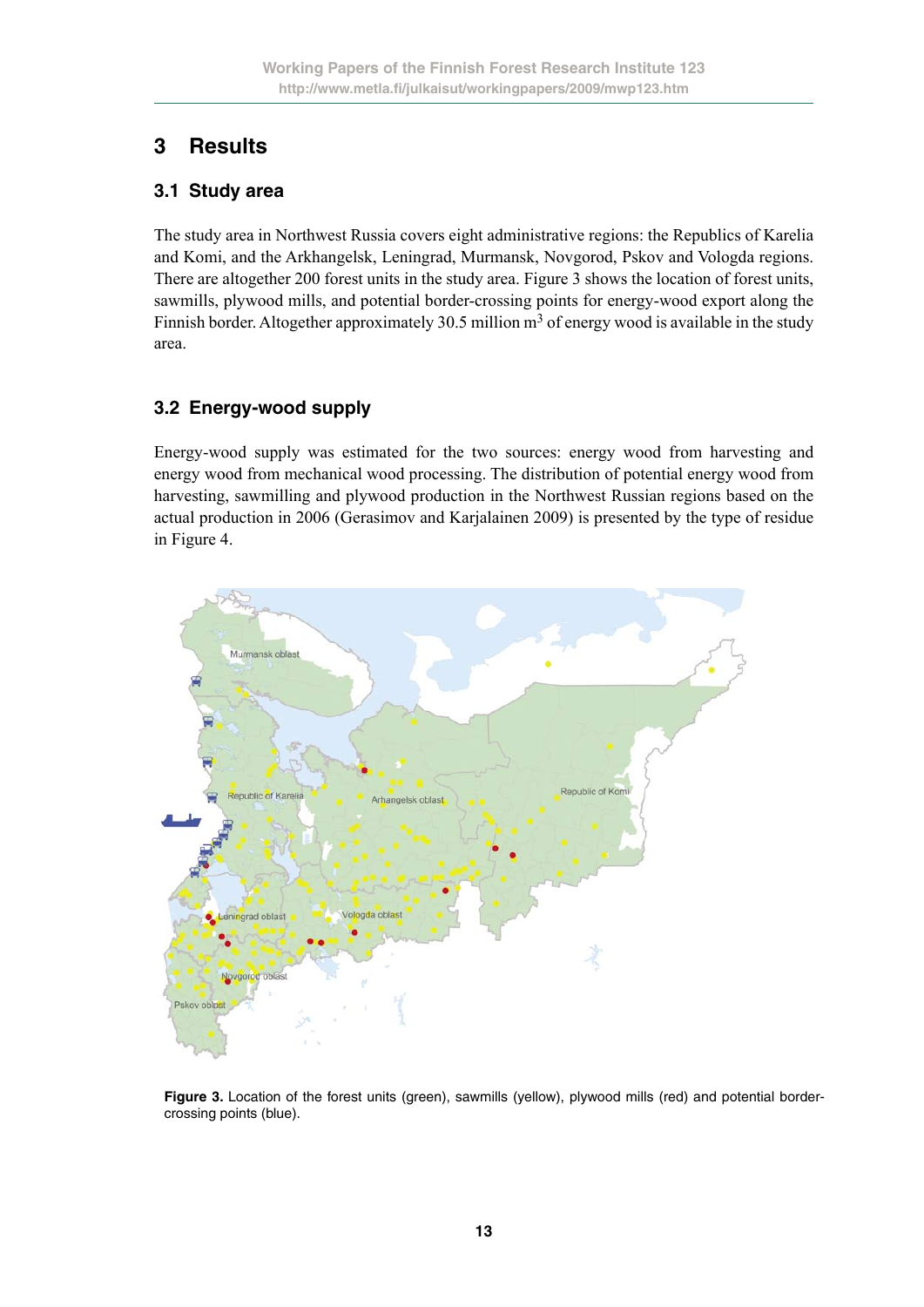# **3 Results**

#### **3.1 Study area**

The study area in Northwest Russia covers eight administrative regions: the Republics of Karelia and Komi, and the Arkhangelsk, Leningrad, Murmansk, Novgorod, Pskov and Vologda regions. There are altogether 200 forest units in the study area. Figure 3 shows the location of forest units, sawmills, plywood mills, and potential border-crossing points for energy-wood export along the Finnish border. Altogether approximately 30.5 million  $m<sup>3</sup>$  of energy wood is available in the study area.

### **3.2 Energy-wood supply**

Energy-wood supply was estimated for the two sources: energy wood from harvesting and energy wood from mechanical wood processing. The distribution of potential energy wood from harvesting, sawmilling and plywood production in the Northwest Russian regions based on the actual production in 2006 (Gerasimov and Karjalainen 2009) is presented by the type of residue in Figure 4.



Figure 3. Location of the forest units (green), sawmills (yellow), plywood mills (red) and potential bordercrossing points (blue).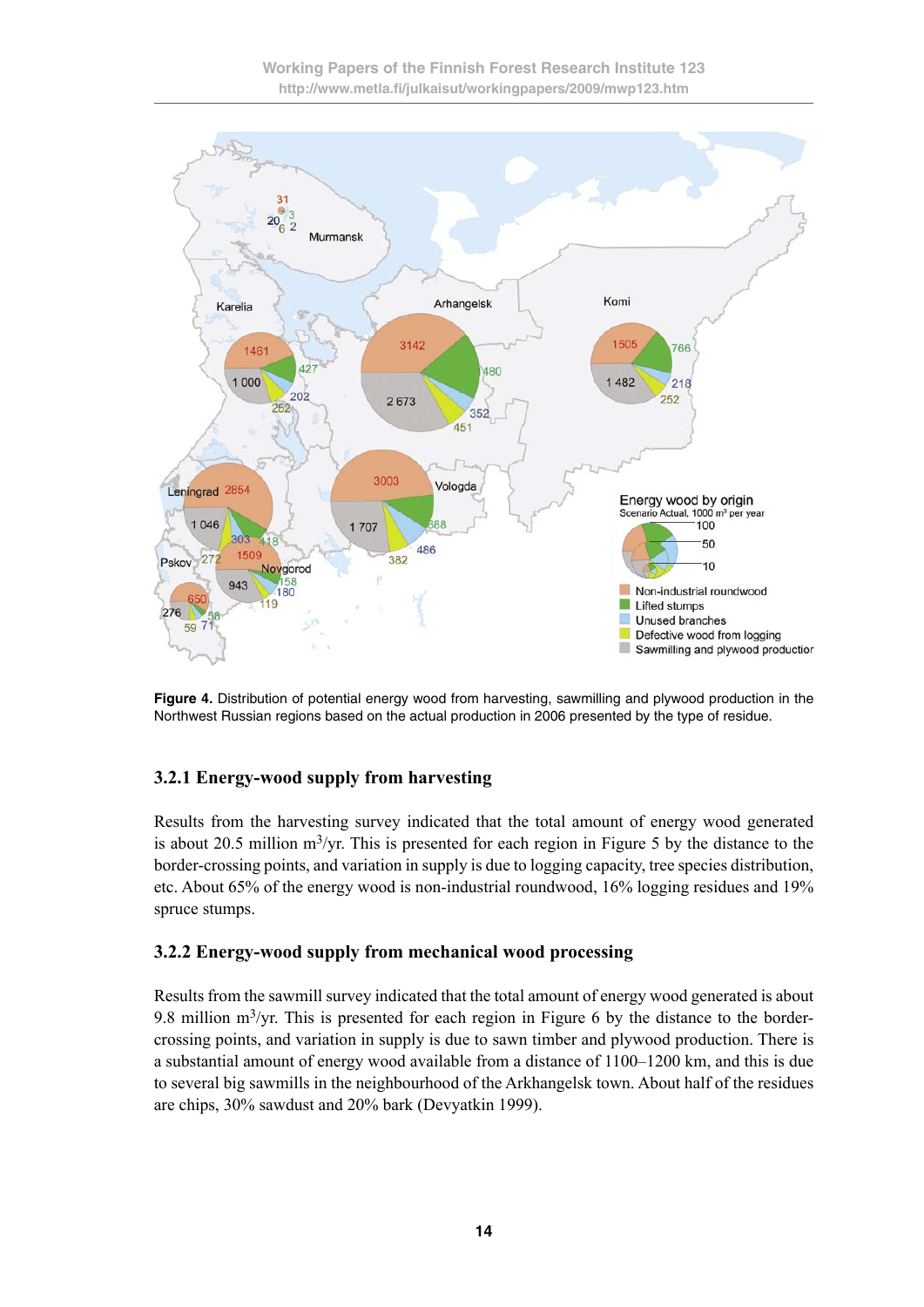

**Figure 4.** Distribution of potential energy wood from harvesting, sawmilling and plywood production in the Northwest Russian regions based on the actual production in 2006 presented by the type of residue.

### **3.2.1 Energy-wood supply from harvesting**

Results from the harvesting survey indicated that the total amount of energy wood generated is about 20.5 million  $m^3$ /yr. This is presented for each region in Figure 5 by the distance to the border-crossing points, and variation in supply is due to logging capacity, tree species distribution, etc. About 65% of the energy wood is non-industrial roundwood, 16% logging residues and 19% spruce stumps.

### **3.2.2 Energy-wood supply from mechanical wood processing**

Results from the sawmill survey indicated that the total amount of energy wood generated is about 9.8 million  $m^3$ /yr. This is presented for each region in Figure 6 by the distance to the bordercrossing points, and variation in supply is due to sawn timber and plywood production. There is a substantial amount of energy wood available from a distance of 1100–1200 km, and this is due to several big sawmills in the neighbourhood of the Arkhangelsk town. About half of the residues are chips, 30% sawdust and 20% bark (Devyatkin 1999).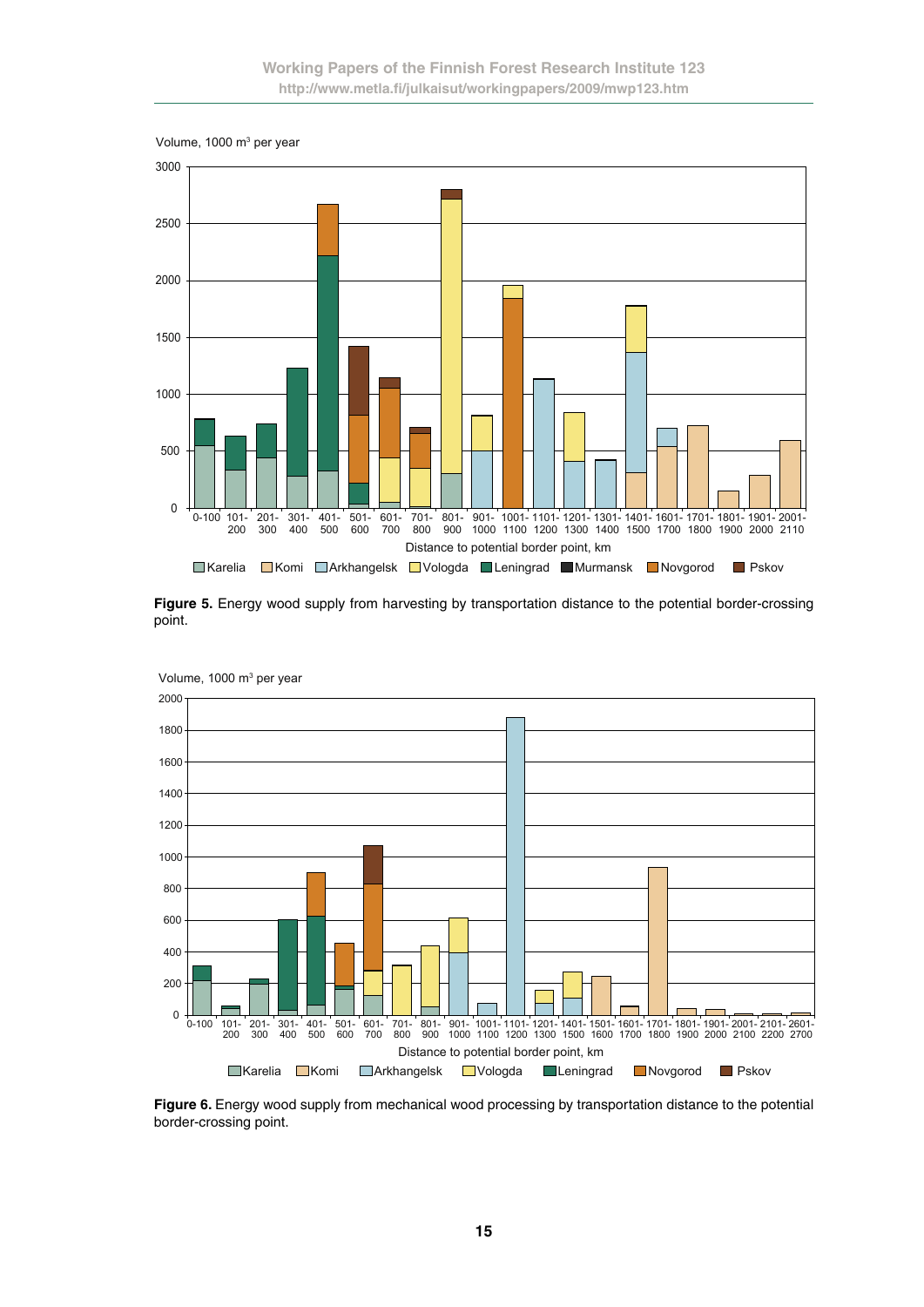

**Figure 5.** Energy wood supply from harvesting by transportation distance to the potential border-crossing point.



Volume, 1000 m3 per year

**Figure 6.** Energy wood supply from mechanical wood processing by transportation distance to the potential border-crossing point.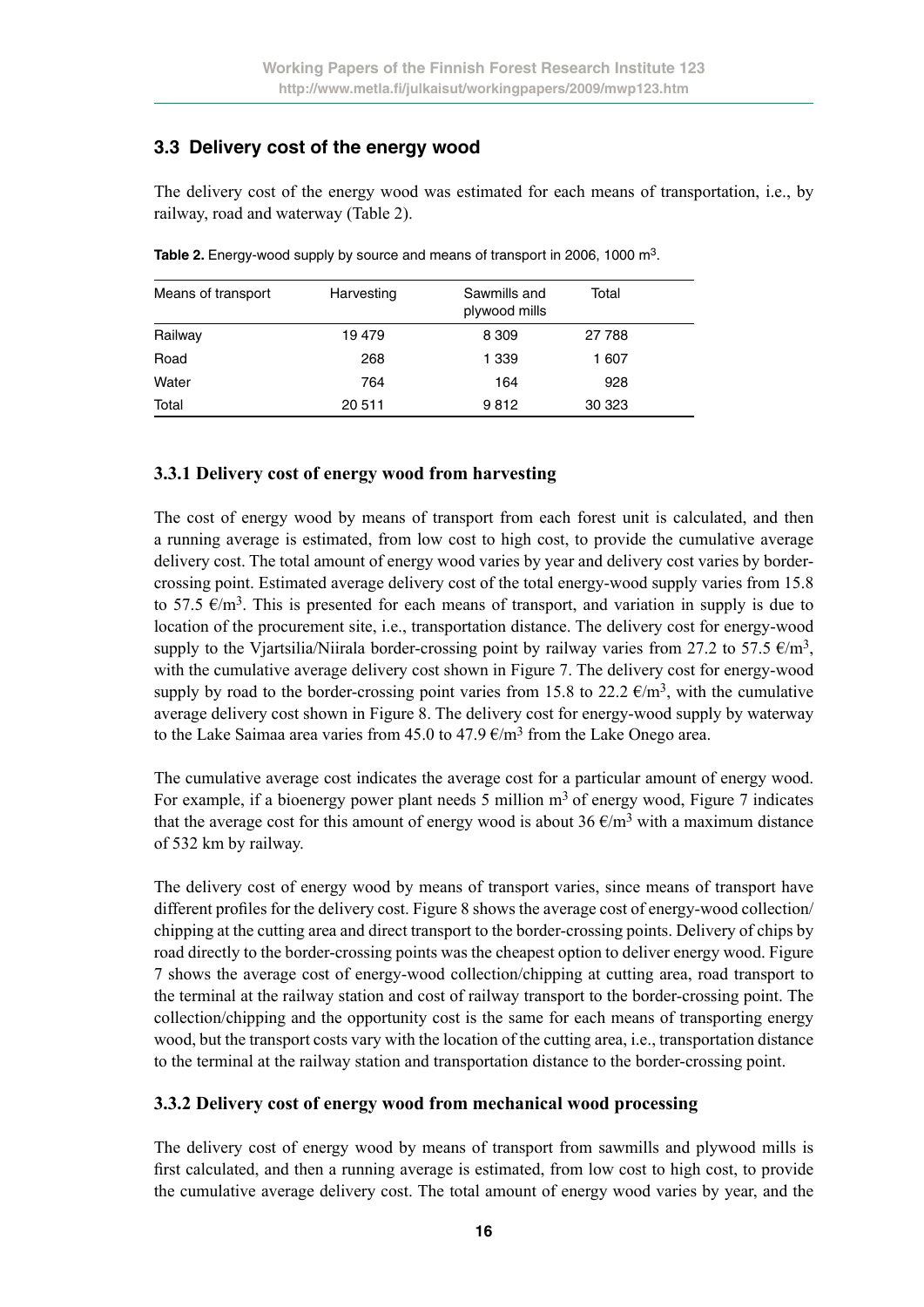### **3.3 Delivery cost of the energy wood**

The delivery cost of the energy wood was estimated for each means of transportation, i.e., by railway, road and waterway (Table 2).

| Means of transport | Harvesting | Sawmills and<br>plywood mills | Total  |  |
|--------------------|------------|-------------------------------|--------|--|
| Railway            | 19479      | 8 3 0 9                       | 27 788 |  |
| Road               | 268        | 1 3 3 9                       | 1 607  |  |
| Water              | 764        | 164                           | 928    |  |
| Total              | 20 511     | 9812                          | 30 323 |  |

Table 2. Energy-wood supply by source and means of transport in 2006, 1000 m<sup>3</sup>.

#### **3.3.1 Delivery cost of energy wood from harvesting**

The cost of energy wood by means of transport from each forest unit is calculated, and then a running average is estimated, from low cost to high cost, to provide the cumulative average delivery cost. The total amount of energy wood varies by year and delivery cost varies by bordercrossing point. Estimated average delivery cost of the total energy-wood supply varies from 15.8 to 57.5  $\epsilon/m^3$ . This is presented for each means of transport, and variation in supply is due to location of the procurement site, i.e., transportation distance. The delivery cost for energy-wood supply to the Viartsilia/Niirala border-crossing point by railway varies from 27.2 to 57.5  $\epsilon/m^3$ , with the cumulative average delivery cost shown in Figure 7. The delivery cost for energy-wood supply by road to the border-crossing point varies from 15.8 to 22.2  $\epsilon/m^3$ , with the cumulative average delivery cost shown in Figure 8. The delivery cost for energy-wood supply by waterway to the Lake Saimaa area varies from 45.0 to 47.9  $\epsilon/m^3$  from the Lake Onego area.

The cumulative average cost indicates the average cost for a particular amount of energy wood. For example, if a bioenergy power plant needs 5 million  $m<sup>3</sup>$  of energy wood, Figure 7 indicates that the average cost for this amount of energy wood is about 36  $\epsilon/m^3$  with a maximum distance of 532 km by railway.

The delivery cost of energy wood by means of transport varies, since means of transport have different profiles for the delivery cost. Figure 8 shows the average cost of energy-wood collection/ chipping at the cutting area and direct transport to the border-crossing points. Delivery of chips by road directly to the border-crossing points was the cheapest option to deliver energy wood. Figure 7 shows the average cost of energy-wood collection/chipping at cutting area, road transport to the terminal at the railway station and cost of railway transport to the border-crossing point. The collection/chipping and the opportunity cost is the same for each means of transporting energy wood, but the transport costs vary with the location of the cutting area, i.e., transportation distance to the terminal at the railway station and transportation distance to the border-crossing point.

#### **3.3.2 Delivery cost of energy wood from mechanical wood processing**

The delivery cost of energy wood by means of transport from sawmills and plywood mills is first calculated, and then a running average is estimated, from low cost to high cost, to provide the cumulative average delivery cost. The total amount of energy wood varies by year, and the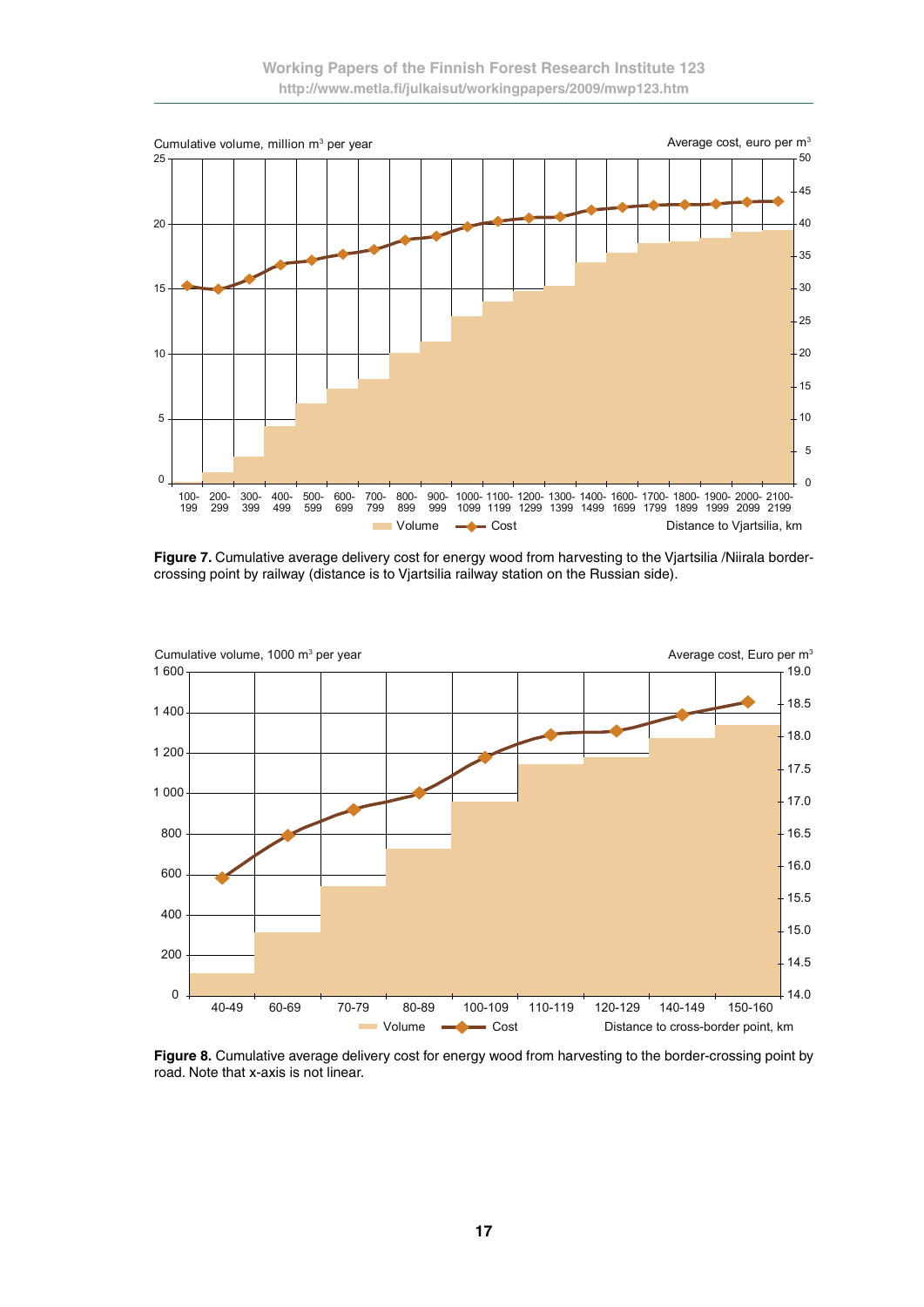

Figure 7. Cumulative average delivery cost for energy wood from harvesting to the Vjartsilia /Niirala bordercrossing point by railway (distance is to Vjartsilia railway station on the Russian side).



**Figure 8.** Cumulative average delivery cost for energy wood from harvesting to the border-crossing point by road. Note that x-axis is not linear.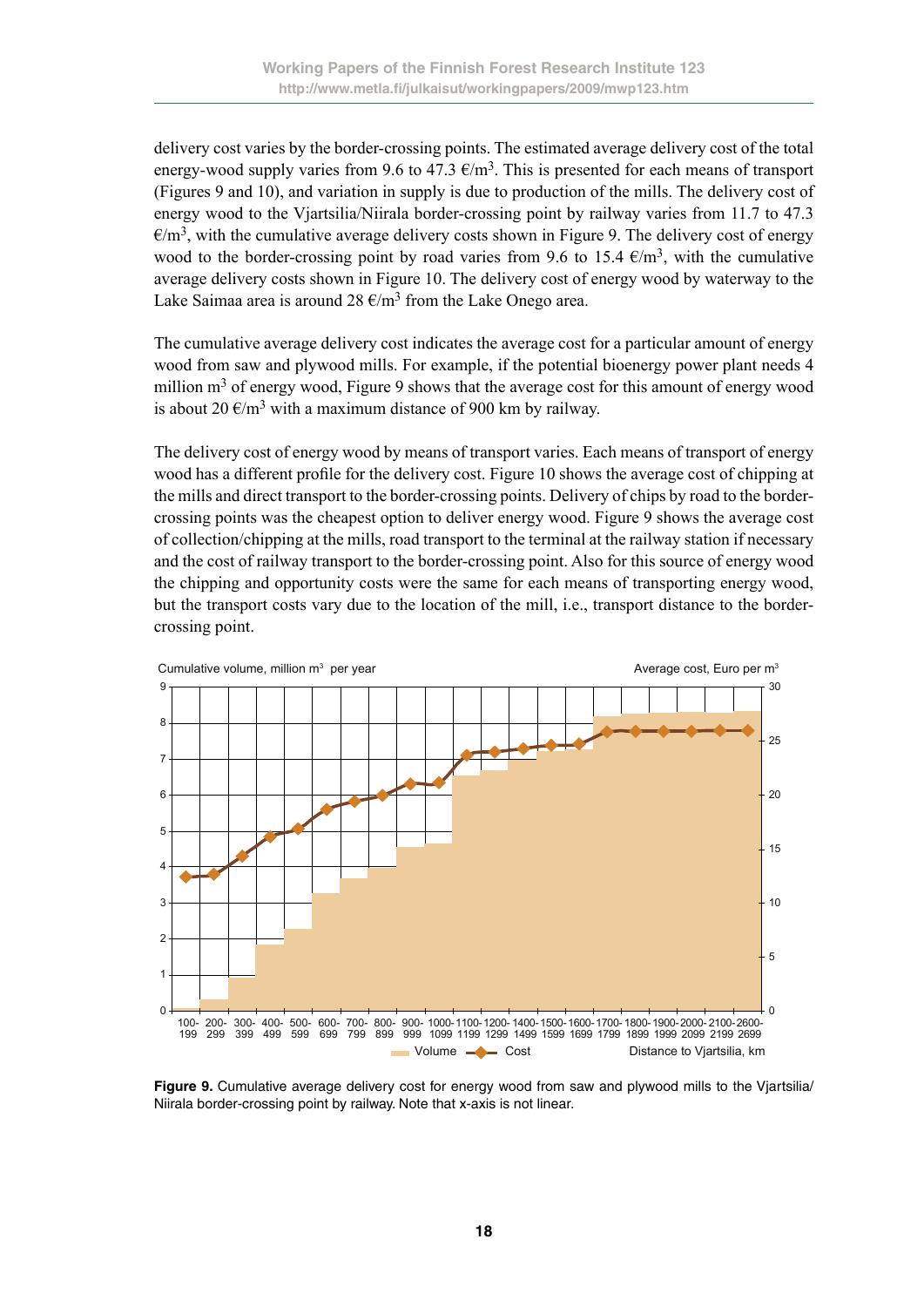delivery cost varies by the border-crossing points. The estimated average delivery cost of the total energy-wood supply varies from 9.6 to 47.3  $\epsilon/m^3$ . This is presented for each means of transport (Figures 9 and 10), and variation in supply is due to production of the mills. The delivery cost of energy wood to the Vjartsilia/Niirala border-crossing point by railway varies from 11.7 to 47.3  $\epsilon/m^3$ , with the cumulative average delivery costs shown in Figure 9. The delivery cost of energy wood to the border-crossing point by road varies from 9.6 to 15.4  $\epsilon/m^3$ , with the cumulative average delivery costs shown in Figure 10. The delivery cost of energy wood by waterway to the Lake Saimaa area is around  $28 \text{ E/m}^3$  from the Lake Onego area.

The cumulative average delivery cost indicates the average cost for a particular amount of energy wood from saw and plywood mills. For example, if the potential bioenergy power plant needs 4 million  $m<sup>3</sup>$  of energy wood, Figure 9 shows that the average cost for this amount of energy wood is about 20  $\epsilon/m^3$  with a maximum distance of 900 km by railway.

The delivery cost of energy wood by means of transport varies. Each means of transport of energy wood has a different profile for the delivery cost. Figure 10 shows the average cost of chipping at the mills and direct transport to the border-crossing points. Delivery of chips by road to the bordercrossing points was the cheapest option to deliver energy wood. Figure 9 shows the average cost of collection/chipping at the mills, road transport to the terminal at the railway station if necessary and the cost of railway transport to the border-crossing point. Also for this source of energy wood the chipping and opportunity costs were the same for each means of transporting energy wood, but the transport costs vary due to the location of the mill, i.e., transport distance to the bordercrossing point.



**Figure 9.** Cumulative average delivery cost for energy wood from saw and plywood mills to the Vjartsilia/ Niirala border-crossing point by railway. Note that x-axis is not linear.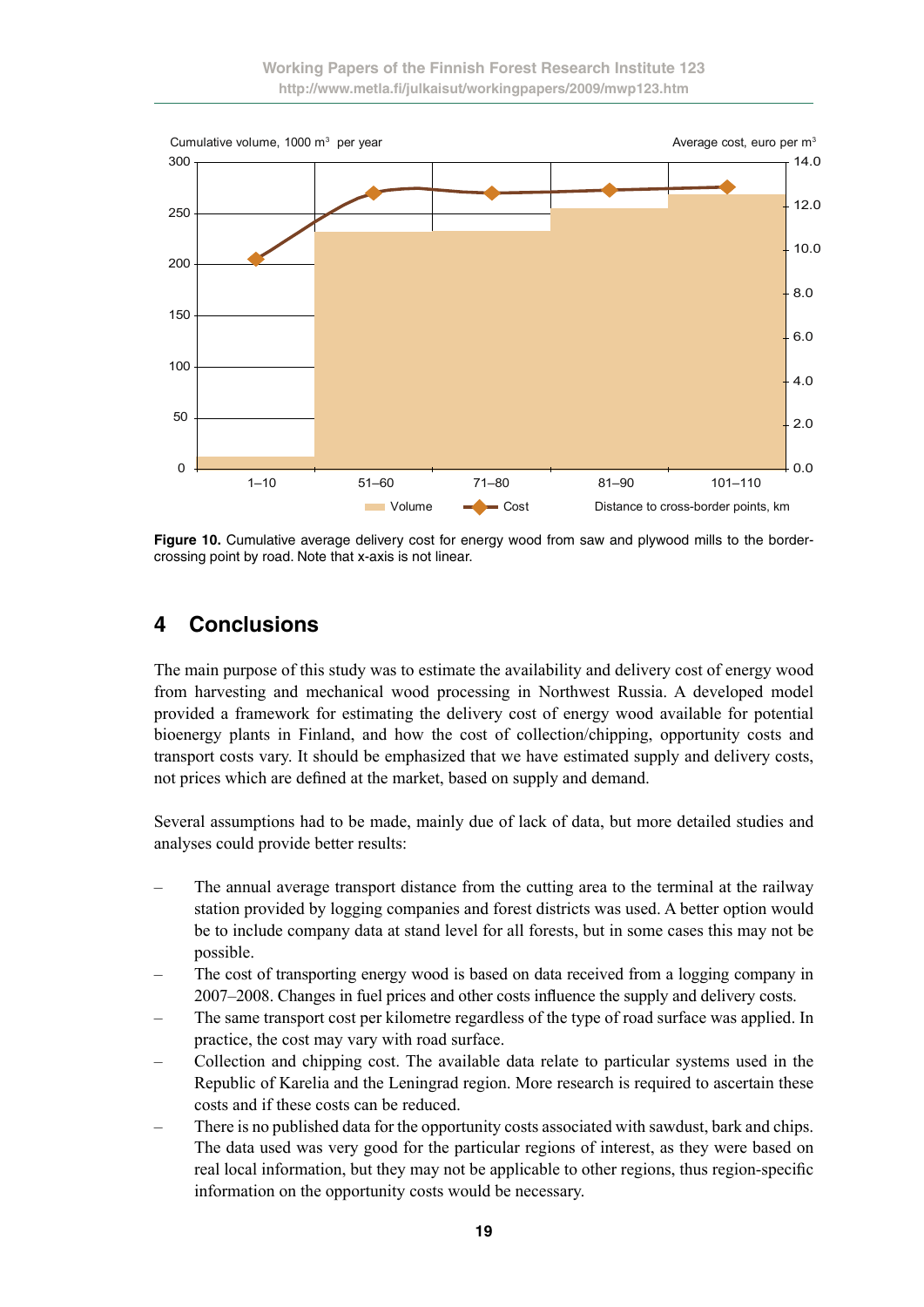

**Figure 10.** Cumulative average delivery cost for energy wood from saw and plywood mills to the bordercrossing point by road. Note that x-axis is not linear.

# **4 Conclusions**

The main purpose of this study was to estimate the availability and delivery cost of energy wood from harvesting and mechanical wood processing in Northwest Russia. A developed model provided a framework for estimating the delivery cost of energy wood available for potential bioenergy plants in Finland, and how the cost of collection/chipping, opportunity costs and transport costs vary. It should be emphasized that we have estimated supply and delivery costs, not prices which are defined at the market, based on supply and demand.

Several assumptions had to be made, mainly due of lack of data, but more detailed studies and analyses could provide better results:

- The annual average transport distance from the cutting area to the terminal at the railway station provided by logging companies and forest districts was used. A better option would be to include company data at stand level for all forests, but in some cases this may not be possible.
- The cost of transporting energy wood is based on data received from a logging company in 2007–2008. Changes in fuel prices and other costs influence the supply and delivery costs.
- The same transport cost per kilometre regardless of the type of road surface was applied. In practice, the cost may vary with road surface.
- Collection and chipping cost. The available data relate to particular systems used in the Republic of Karelia and the Leningrad region. More research is required to ascertain these costs and if these costs can be reduced.
- There is no published data for the opportunity costs associated with sawdust, bark and chips. The data used was very good for the particular regions of interest, as they were based on real local information, but they may not be applicable to other regions, thus region-specific information on the opportunity costs would be necessary.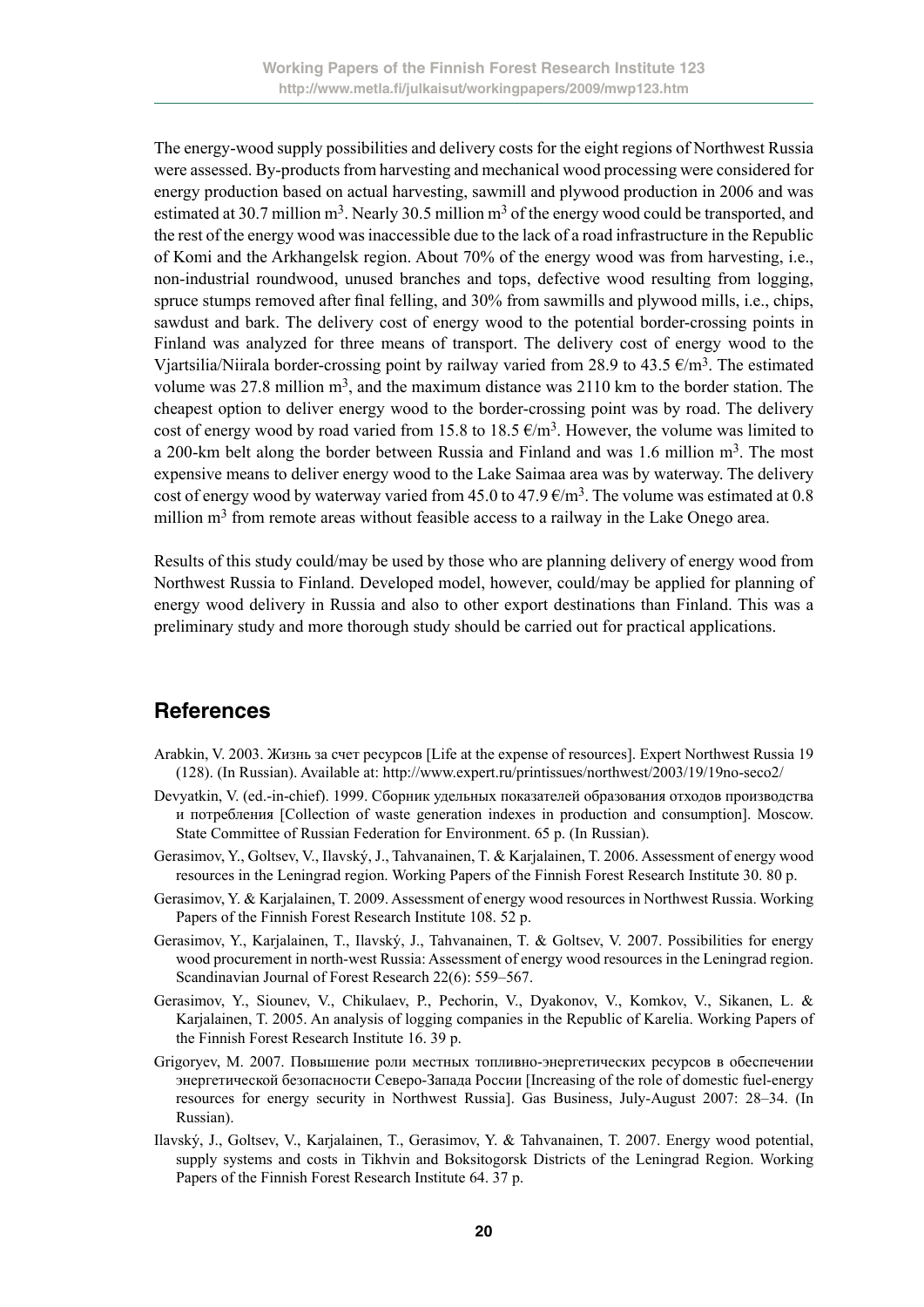The energy-wood supply possibilities and delivery costs for the eight regions of Northwest Russia were assessed. By-products from harvesting and mechanical wood processing were considered for energy production based on actual harvesting, sawmill and plywood production in 2006 and was estimated at 30.7 million  $m<sup>3</sup>$ . Nearly 30.5 million  $m<sup>3</sup>$  of the energy wood could be transported, and the rest of the energy wood was inaccessible due to the lack of a road infrastructure in the Republic of Komi and the Arkhangelsk region. About 70% of the energy wood was from harvesting, i.e., non-industrial roundwood, unused branches and tops, defective wood resulting from logging, spruce stumps removed after final felling, and 30% from sawmills and plywood mills, i.e., chips, sawdust and bark. The delivery cost of energy wood to the potential border-crossing points in Finland was analyzed for three means of transport. The delivery cost of energy wood to the Viartsilia/Niirala border-crossing point by railway varied from 28.9 to 43.5  $\epsilon/m^3$ . The estimated volume was 27.8 million  $m<sup>3</sup>$ , and the maximum distance was 2110 km to the border station. The cheapest option to deliver energy wood to the border-crossing point was by road. The delivery cost of energy wood by road varied from 15.8 to 18.5  $\epsilon/m^3$ . However, the volume was limited to a 200-km belt along the border between Russia and Finland and was 1.6 million  $m<sup>3</sup>$ . The most expensive means to deliver energy wood to the Lake Saimaa area was by waterway. The delivery cost of energy wood by waterway varied from 45.0 to 47.9  $\epsilon/m^3$ . The volume was estimated at 0.8 million  $m<sup>3</sup>$  from remote areas without feasible access to a railway in the Lake Onego area.

Results of this study could/may be used by those who are planning delivery of energy wood from Northwest Russia to Finland. Developed model, however, could/may be applied for planning of energy wood delivery in Russia and also to other export destinations than Finland. This was a preliminary study and more thorough study should be carried out for practical applications.

## **References**

- Arabkin, V. 2003. Жизнь за счет ресурсов [Life at the expense of resources]. Expert Northwest Russia 19 (128). (In Russian). Available at: http://www.expert.ru/printissues/northwest/2003/19/19no-seco2/
- Devyatkin, V. (ed.-in-chief). 1999. Сборник удельных показателей образования отходов производства и потребления [Collection of waste generation indexes in production and consumption]. Мoscow. State Committee of Russian Federation for Environment. 65 p. (In Russian).
- Gerasimov, Y., Goltsev, V., Ilavský, J., Tahvanainen, T. & Karjalainen, T. 2006. Assessment of energy wood resources in the Leningrad region. Working Papers of the Finnish Forest Research Institute 30. 80 p.
- Gerasimov, Y. & Karjalainen, T. 2009. Assessment of energy wood resources in Northwest Russia. Working Papers of the Finnish Forest Research Institute 108. 52 p.
- Gerasimov, Y., Karjalainen, T., Ilavský, J., Tahvanainen, T. & Goltsev, V. 2007. Possibilities for energy wood procurement in north-west Russia: Assessment of energy wood resources in the Leningrad region. Scandinavian Journal of Forest Research 22(6): 559–567.
- Gerasimov, Y., Siounev, V., Chikulaev, P., Pechorin, V., Dyakonov, V., Komkov, V., Sikanen, L. & Karialainen, T. 2005. An analysis of logging companies in the Republic of Karelia. Working Papers of the Finnish Forest Research Institute 16. 39 p.
- Grigoryev, M. 2007. Повышение роли местных топливно-энергетических ресурсов в обеспечении энергетической безопасности Северо-Запада России [Increasing of the role of domestic fuel-energy resources for energy security in Northwest Russia]. Gas Business, July-August 2007: 28–34. (In Russian).
- Ilavský, J., Goltsev, V., Karjalainen, T., Gerasimov, Y. & Tahvanainen, T. 2007. Energy wood potential, supply systems and costs in Tikhvin and Boksitogorsk Districts of the Leningrad Region. Working Papers of the Finnish Forest Research Institute 64. 37 p.